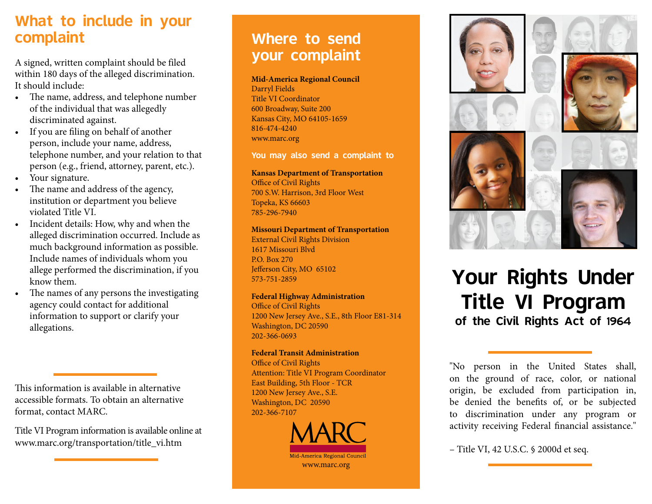#### What to include in your complaint

A signed, written complaint should be filed within 180 days of the alleged discrimination. It should include:

- The name, address, and telephone number of the individual that was allegedly discriminated against.
- If you are filing on behalf of another person, include your name, address, telephone number, and your relation to that person (e.g., friend, attorney, parent, etc.).
- Your signature.
- The name and address of the agency, institution or department you believe violated Title VI.
- Incident details: How, why and when the alleged discrimination occurred. Include as much background information as possible. Include names of individuals whom you allege performed the discrimination, if you know them.
- The names of any persons the investigating agency could contact for additional information to support or clarify your allegations.

This information is available in alternative accessible formats. To obtain an alternative format, contact MARC.

Title VI Program information is available online at www.marc.org/transportation/title\_vi.htm

### Where to send your complaint

#### **Mid-America Regional Council**

Darryl Fields Title VI Coordinator 600 Broadway, Suite 200 Kansas City, MO 64105-1659 816-474-4240 www.marc.org

You may also send a complaint to

**Kansas Department of Transportation** Office of Civil Rights 700 S.W. Harrison, 3rd Floor West Topeka, KS 66603 785-296-7940

#### **Missouri Department of Transportation**

External Civil Rights Division 1617 Missouri Blvd P.O. Box 270 Jefferson City, MO 65102 573-751-2859

#### **Federal Highway Administration**

Office of Civil Rights 1200 New Jersey Ave., S.E., 8th Floor E81-314 Washington, DC 20590 202-366-0693

#### **Federal Transit Administration**

Office of Civil Rights Attention: Title VI Program Coordinator East Building, 5th Floor - TCR 1200 New Jersey Ave., S.E. Washington, DC 20590 202-366-7107





# Your Rights Under Title VI Program of the Civil Rights Act of 1964

"No person in the United States shall, on the ground of race, color, or national origin, be excluded from participation in, be denied the benefits of, or be subjected to discrimination under any program or activity receiving Federal financial assistance."

– Title VI, 42 U.S.C. § 2000d et seq.